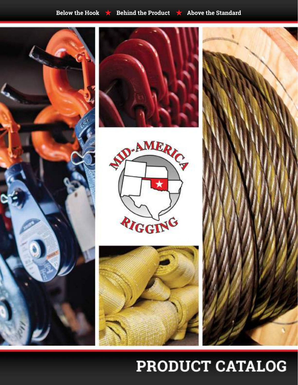









# PRODUCT CATALOG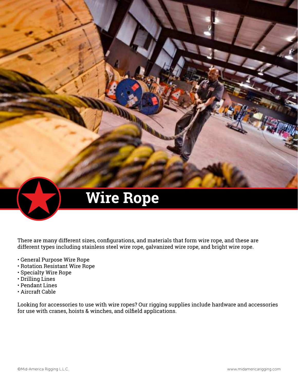

# **Wire Rope**

There are many different sizes, configurations, and materials that form wire rope, and these are different types including stainless steel wire rope, galvanized wire rope, and bright wire rope.

- General Purpose Wire Rope
- Rotation Resistant Wire Rope
- Specialty Wire Rope
- Drilling Lines
- Pendant Lines
- Aircraft Cable

Looking for accessories to use with wire ropes? Our rigging supplies include hardware and accessories for use with cranes, hoists & winches, and oilfield applications.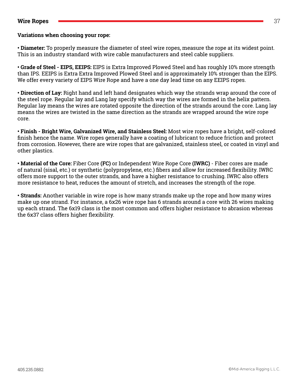#### **Wire Ropes** 37

#### **Variations when choosing your rope:**

**• Diameter:** To properly measure the diameter of steel wire ropes, measure the rope at its widest point. This is an industry standard with wire cable manufacturers and steel cable suppliers.

• Grade of Steel - EIPS, EEIPS: EIPS is Extra Improved Plowed Steel and has roughly 10% more strength than IPS. EEIPS is Extra Extra Improved Plowed Steel and is approximately 10% stronger than the EIPS. We offer every variety of EIPS Wire Rope and have a one day lead time on any EEIPS ropes.

**• Direction of Lay:** Right hand and left hand designates which way the strands wrap around the core of the steel rope. Regular lay and Lang lay specify which way the wires are formed in the helix pattern. Regular lay means the wires are rotated opposite the direction of the strands around the core. Lang lay means the wires are twisted in the same direction as the strands are wrapped around the wire rope core.

• Finish - Bright Wire, Galvanized Wire, and Stainless Steel: Most wire ropes have a bright, self-colored finish hence the name. Wire ropes generally have a coating of lubricant to reduce friction and protect from corrosion. However, there are wire ropes that are galvanized, stainless steel, or coated in vinyl and other plastics.

• Material of the Core: Fiber Core (FC) or Independent Wire Rope Core (IWRC) - Fiber cores are made of natural (sisal, etc.) or synthetic (polypropylene, etc.) fibers and allow for increased flexibility. IWRC offers more support to the outer strands, and have a higher resistance to crushing. IWRC also offers more resistance to heat, reduces the amount of stretch, and increases the strength of the rope.

• **Strands:** Another variable in wire rope is how many strands make up the rope and how many wires make up one strand. For instance, a 6x26 wire rope has 6 strands around a core with 26 wires making up each strand. The 6x19 class is the most common and offers higher resistance to abrasion whereas the 6x37 class offers higher flexibility.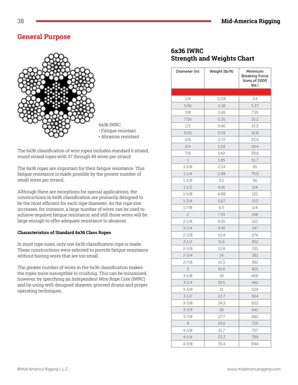# **General Purpose**



6x36 IWRC • Fatigue resistant • Abrasion resistant

The 6x36 classification of wire ropes includes standard 6 strand, round strand ropes with 27 through 49 wires per strand.

The 6x36 ropes are important for their fatigue resistance. This fatigue resistance is made possible by the greater number of small wires per strand.

Although there are exceptions for special applications, the constructions in 6x36 classification are primarily designed to be the most efficient for each rope diameter. As the rope size increases, for instance, a large number of wires can be used to achieve required fatigue resistance, and still those wires will be large enough to offer adequate resistance to abrasion.

#### Characteristics of Standard 6x36 Class Ropes

In most rope sizes, only one 6x36 classification rope is made. These constructions were selected to provide fatigue resistance without having wires that are too small.

The greater number of wires in the 6x36 classification makes the ropes more susceptible to crushing. This can be minimized, however, by specifying an Independent Wire Rope Core (IWRC)  $\,$ and by using well-designed sheaves, grooved drums and proper operating techniques.

#### 6x36 IWRC **Strength and Weights Chart**

| Diameter (in)  | Weight (lb/ft) | Minimum<br><b>Breaking Force</b><br>(tons of 2000<br>lbs. |
|----------------|----------------|-----------------------------------------------------------|
|                |                |                                                           |
| 1/4            | 0.116          | 3.4                                                       |
| 5/16           | 0.18           | 5.27                                                      |
| 3/8            | 0.26           | 7.55                                                      |
| 7/16           | 0.35           | 10.2                                                      |
| 1/2            | 0.46           | 13.3                                                      |
| 9/16           | 0.59           | 16.8                                                      |
| 5/8            | 0.72           | 20.6                                                      |
| 3/4            | 1.04           | 29.4                                                      |
| 7/8            | 1.42           | 39.8                                                      |
| 1              | 1.85           | 51.7                                                      |
| $1 - 1/8$      | 2.34           | 65                                                        |
| $1 - 1/4$      | 2.89           | 79.9                                                      |
| $1 - 3/8$      | 3.5            | 96                                                        |
| $1 - 1/2$      | 4.16           | 114                                                       |
| $1 - 5/8$      | 4.88           | 132                                                       |
| $1 - 3/4$      | 5.67           | 153                                                       |
| $1 - 7/8$      | 6.5            | 1/4                                                       |
| $\overline{c}$ | 7.39           | 198                                                       |
| $2 - 1/8$      | 8.35           | 221                                                       |
| $2 - 1/4$      | 9.36           | 247                                                       |
| $2 - 3/8$      | 10.4           | 274                                                       |
| $2 - 1/2$      | 11.6           | 302                                                       |
| $2 - 5/8$      | 12.8           | 331                                                       |
| $2 - 3/4$      | 14             | 361                                                       |
| $2 - 7/8$      | 15.3           | 392                                                       |
| 3              | 16.6           | 425                                                       |
| $3 - 1/8$      | 18             | 458                                                       |
| $3 - 1/4$      | 19.5           | 492                                                       |
| $3 - 3/8$      | 21             | 529                                                       |
| $3 - 1/2$      | 22.7           | 564                                                       |
| 3-5/8          | 24.3           | 602                                                       |
| 3-3/4          | 26             | 641                                                       |
| $3 - 7/8$      | 27.7           | 680                                                       |
| 4              | 29.6           | 720                                                       |
| $4 - 1/8$      | 31.7           | 757                                                       |
| $4 - 1/4$      | 33.3           | 799                                                       |
| 4-3/8          | 35.4           | 844                                                       |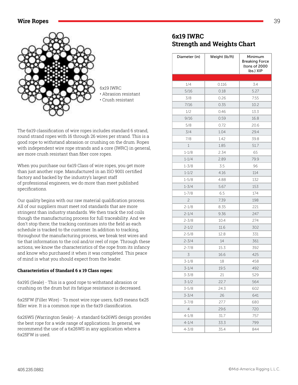#### Wire Ropes **39 Structure 2018 39** Structure 2018 **39** Structure 2018 **39** Structure 2018 **39** Structure 2018 **39**



The 6x19 classification of wire ropes includes standard 6 strand, round strand ropes with 16 through 26 wires per strand. This is a good rope to withstand abrasion or crushing on the drum. Ropes with independent wire rope strands and a core (IWRC) in general, are more crush resistant than fiber core ropes.

When you purchase our 6x19 Class of wire ropes, you get more than just another rope. Manufactured in an ISO 9001 certified factory and backed by the industry's largest staff of professional engineers, we do more than meet published specifications.

Our quality begins with our raw material qualification process. All of our suppliers must meet rod standards that are more stringent than industry standards. We then track the rod coils though the manufacturing process for full traceability. And we don't stop there; the tracking continues into the field as each schedule is tracked to the customer. In addition to tracking, throughout the manufacturing process, we break test wires and tie that information to the coil and/or reel of rope. Through these actions, we know the characteristics of the rope from its infancy and know who purchased it when it was completed. This peace of mind is what you should expect from the leader.

#### Characteristics of Standard 6 x 19 Class ropes:

6x19S (Seale) - This is a good rope to withstand abrasion or crushing on the drum but its fatigue resistance is decreased.

6x25FW (Filler Wire) - To most wire rope users, 6x19 means 6x25 filler wire. It is a common rope in the 6x19 classification.

6x26WS (Warrington Seale) - A standard 6x26WS design provides the best rope for a wide range of applications. In general, we recommend the use of a 6x26WS in any application where a 6x25FW is used.

## 6x19 **IWRC Strength and Weights Chart**

| Diameter (in) | Weight (lb/ft) | Minimum<br><b>Breaking Force</b><br>(tons of 2000<br>lbs.) XIP |
|---------------|----------------|----------------------------------------------------------------|
|               |                |                                                                |
| 1/4           | 0.116          | 3.4                                                            |
| 5/16          | 0.18           | 5.27                                                           |
| 3/8           | 0.26           | 7.55                                                           |
| 7/16          | 0.35           | 10.2                                                           |
| 1/2           | 0.46           | 13.3                                                           |
| 9/16          | 0.59           | 16.8                                                           |
| 5/8           | 0.72           | 20.6                                                           |
| 3/4           | 1.04           | 29.4                                                           |
| 7/8           | 1.42           | 39.8                                                           |
| $1\,$         | 1.85           | 51.7                                                           |
| $1 - 1/8$     | 2.34           | 65                                                             |
| $1 - 1/4$     | 2.89           | 79.9                                                           |
| $1 - 3/8$     | 3.5            | 96                                                             |
| $1 - 1/2$     | 4.16           | 114                                                            |
| $1 - 5/8$     | 4.88           | 132                                                            |
| $1 - 3/4$     | 5.67           | 153                                                            |
| $1 - 7/8$     | 6.5            | 174                                                            |
| 2             | 7.39           | 198                                                            |
| $2 - 1/8$     | 8.35           | 221                                                            |
| $2 - 1/4$     | 9.36           | 247                                                            |
| $2 - 3/8$     | 10.4           | 274                                                            |
| $2 - 1/2$     | 11.6           | 302                                                            |
| $2 - 5/8$     | 12.8           | 331                                                            |
| $2 - 3/4$     | 14             | 361                                                            |
| $2 - 7/8$     | 15.3           | 392                                                            |
| 3             | 16.6           | 425                                                            |
| $3 - 1/8$     | 18             | 458                                                            |
| $3 - 1/4$     | 19.5           | 492                                                            |
| $3 - 3/8$     | 21             | 529                                                            |
| $3 - 1/2$     | 22.7           | 564                                                            |
| $3 - 5/8$     | 24.3           | 602                                                            |
| $3 - 3/4$     | 26             | 641                                                            |
| 3-7/8         | 27.7           | 680                                                            |
| 4             | 29.6           | 720                                                            |
| $4 - 1/8$     | 31.7           | 757                                                            |
| $4 - 1/4$     | 33.3           | 799                                                            |
| $4 - 3/8$     | 35.4           | 844                                                            |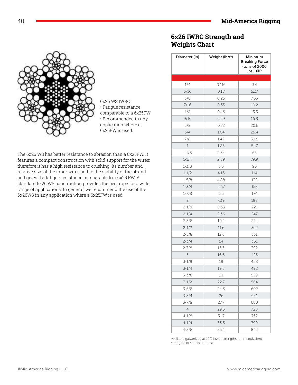#### **Mid-America Rigging**



#### 6x26 WS IWRC

• Fatigue resistance comparable to a 6x25FW • Recommended in any application where a 6x25FW is used.

The 6x26 WS has better resistance to abrasion than a 6x25FW. It features a compact construction with solid support for the wires; therefore it has a high resistance to crushing. Its number and relative size of the inner wires add to the stability of the strand and gives it a fatigue resistance comparable to a 6x25 FW. A standard 6x26 WS construction provides the best rope for a wide range of applications. In general, we recommend the use of the 6x26WS in any application where a 6x25FW is used.

#### 6x26 IWRC Strength and **Weights Chart**

| Diameter (in)  | Weight (lb/ft) | Minimum<br><b>Breaking Force</b><br>(tons of 2000<br>lbs.) XIP |
|----------------|----------------|----------------------------------------------------------------|
|                |                |                                                                |
| 1/4            | 0.116          | 3.4                                                            |
| 5/16           | 0.18           | 5.27                                                           |
| 3/8            | 0.26           | 7.55                                                           |
| 7/16           | 0.35           | 10.2                                                           |
| 1/2            | 0.46           | 13.3                                                           |
| 9/16           | 0.59           | 16.8                                                           |
| 5/8            | 0.72           | 20.6                                                           |
| 3/4            | 1.04           | 29.4                                                           |
| 7/8            | 1.42           | 39.8                                                           |
| $\mathbf{1}$   | 1.85           | 51.7                                                           |
| $1 - 1/8$      | 2.34           | 65                                                             |
| $1 - 1/4$      | 2.89           | 79.9                                                           |
| $1 - 3/8$      | 3.5            | 96                                                             |
| $1 - 1/2$      | 4.16           | 114                                                            |
| $1 - 5/8$      | 4.88           | 132                                                            |
| $1 - 3/4$      | 5.67           | 153                                                            |
| $1 - 7/8$      | 6.5            | 174                                                            |
| 2              | 7.39           | 198                                                            |
| $2 - 1/8$      | 8.35           | 221                                                            |
| $2 - 1/4$      | 9.36           | 247                                                            |
| $2 - 3/8$      | 10.4           | 274                                                            |
| $2 - 1/2$      | 11.6           | 302                                                            |
| $2 - 5/8$      | 12.8           | 331                                                            |
| $2 - 3/4$      | 14             | 361                                                            |
| $2 - 7/8$      | 15.3           | 392                                                            |
| 3              | 16.6           | 425                                                            |
| $3 - 1/8$      | 18             | 458                                                            |
| $3 - 1/4$      | 19.5           | 492                                                            |
| $3 - 3/8$      | 21             | 529                                                            |
| $3 - 1/2$      | 22.7           | 564                                                            |
| $3 - 5/8$      | 24.3           | 602                                                            |
| $3 - 3/4$      | 26             | 641                                                            |
| $3 - 7/8$      | 27.7           | 680                                                            |
| $\overline{4}$ | 29.6           | 720                                                            |
| $4 - 1/8$      | 31.7           | 757                                                            |
| $4 - 1/4$      | 33.3           | 799                                                            |
| $4 - 3/8$      | 35.4           | 844                                                            |

Available galvanized at 10% lower strengths, or in equivalent strengths of special request.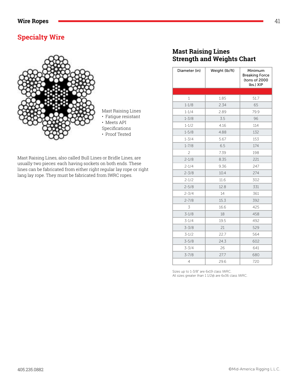# **Specialty Wire**



Mast Raising Lines, also called Bull Lines or Bridle Lines, are usually two pieces: each having sockets on both ends. These lines can be fabricated from either right regular lay rope or right lang lay rope. They must be fabricated from IWRC ropes.

# **Mast Raising Lines Strength and Weights Chart**

| Diameter (in)  | Weight (lb/ft) | Minimum<br><b>Breaking Force</b><br>(tons of 2000<br>lbs.) XIP |
|----------------|----------------|----------------------------------------------------------------|
|                |                |                                                                |
| $\mathbf{1}$   | 1.85           | 51.7                                                           |
| $1 - 1/8$      | 2.34           | 65                                                             |
| $1 - 1/4$      | 2.89           | 79.9                                                           |
| $1 - 3/8$      | 3.5            | 96                                                             |
| $1 - 1/2$      | 4.16           | 114                                                            |
| $1 - 5/8$      | 4.88           | 132                                                            |
| $1 - 3/4$      | 5.67           | 153                                                            |
| $1 - 7/8$      | 6.5            | 174                                                            |
| $\overline{c}$ | 7.39           | 198                                                            |
| $2 - 1/8$      | 8.35           | 221                                                            |
| $2 - 1/4$      | 9.36           | 247                                                            |
| $2 - 3/8$      | 10.4           | 274                                                            |
| $2 - 1/2$      | 11.6           | 302                                                            |
| $2 - 5/8$      | 12.8           | 331                                                            |
| $2 - 3/4$      | 14             | 361                                                            |
| $2 - 7/8$      | 15.3           | 392                                                            |
| 3              | 16.6           | 425                                                            |
| $3 - 1/8$      | 18             | 458                                                            |
| $3 - 1/4$      | 19.5           | 492                                                            |
| $3 - 3/8$      | 21             | 529                                                            |
| $3 - 1/2$      | 22.7           | 564                                                            |
| $3 - 5/8$      | 24.3           | 602                                                            |
| $3 - 3/4$      | 26             | 641                                                            |
| $3 - 7/8$      | 27.7           | 680                                                            |
| 4              | 29.6           | 720                                                            |

Sizes up to 1-3/8" are 6x19 class IWRC. All sizes greater than 1 1/2@ are 6x36 class IWRC.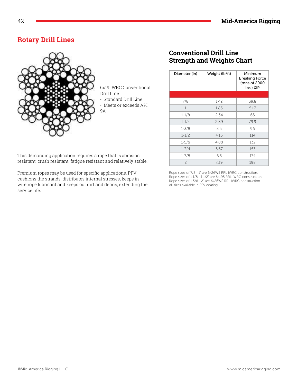# **Rotary Drill Lines**



6x19 IWRC Conventional Drill Line • Standard Drill Line

• Meets or exceeds API 9A

# **Conventional Drill Line Strength and Weights Chart**

| Diameter (in)  | Weight (lb/ft) | Minimum<br><b>Breaking Force</b><br>(tons of 2000<br>lbs.) XIP |
|----------------|----------------|----------------------------------------------------------------|
|                |                |                                                                |
| 7/8            | 1.42           | 39.8                                                           |
| $\mathbf{1}$   | 1.85           | 51.7                                                           |
| $1 - 1/8$      | 2.34           | 65                                                             |
| $1 - 1/4$      | 2.89           | 79.9                                                           |
| $1 - 3/8$      | 3.5            | 96                                                             |
| $1 - 1/2$      | 4.16           | 114                                                            |
| $1 - 5/8$      | 4.88           | 132                                                            |
| $1 - 3/4$      | 5.67           | 153                                                            |
| $1 - 7/8$      | 6.5            | 174                                                            |
| $\overline{c}$ | 7.39           | 198                                                            |

This demanding application requires a rope that is abrasion resistant, crush resistant, fatigue resistant and relatively stable.

Premium ropes may be used for specific applications. PFV cushions the strands, distributes internal stresses, keeps in wire rope lubricant and keeps out dirt and debris, extending the service life.

Rope sizes of 7/8 - 1" are 6x26WS RRL IWRC construction. Rope sizes of 1 1/8 - 1 1/2" are 6x195 RRL IWRC construction. Rope sizes of 1 5/8 - 2" are 6x26WS RRL IWRC construction. All sizes available in PFV coating.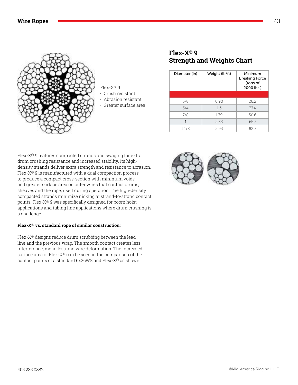

Flex-X® 9

- Crush resistant
- Abrasion resistant
- Greater surface area

## **Flex-X<sup>®</sup> 9 Strength and Weights Chart**

| Diameter (in) | Weight (lb/ft) | Minimum<br><b>Breaking Force</b><br>(tons of<br>2000 lbs.) |
|---------------|----------------|------------------------------------------------------------|
|               |                |                                                            |
| 5/8           | 0.90           | 26.2                                                       |
| 3/4           | 1.3            | 37.4                                                       |
| 7/8           | 1.79           | 50.6                                                       |
|               | 2.33           | 65.7                                                       |
| 11/8          | 2.93           | 82.7                                                       |

Flex-X® 9 features compacted strands and swaging for extra drum crushing resistance and increased stability. Its highdensity strands deliver extra strength and resistance to abrasion. Flex-X® 9 is manufactured with a dual compaction process to produce a compact cross-section with minimum voids and greater surface area on outer wires that contact drums, sheaves and the rope, itself during operation. The high-density compacted strands minimize nicking at strand-to-strand contact points. Flex-X® 9 was specifically designed for boom hoist applications and tubing line applications where drum crushing is a challenge.

#### Flex-X<sup>®</sup> vs. standard rope of similar construction:

Flex-X® designs reduce drum scrubbing between the lead line and the previous wrap. The smooth contact creates less interference, metal loss and wire deformation. The increased surface area of Flex-X® can be seen in the comparison of the contact points of a standard  $6x26WS$  and Flex- $X^{\circledast}$  as shown.

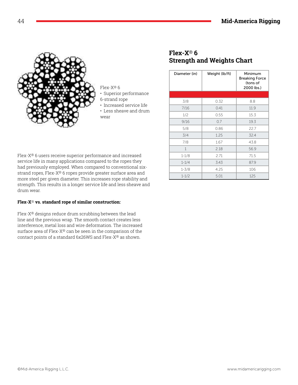

Flex-X® 6

- Superior performance
- 6-strand rope
- Increased service life
- Less sheave and drum wear

Flex-X® 6 users receive superior performance and increased service life in many applications compared to the ropes they had previously employed. When compared to conventional sixstrand ropes, Flex-X® 6 ropes provide greater surface area and more steel per given diameter. This increases rope stability and strength. This results in a longer service life and less sheave and drum wear.

#### Flex-X<sup>®</sup> vs. standard rope of similar construction:

Flex-X® designs reduce drum scrubbing between the lead line and the previous wrap. The smooth contact creates less interference, metal loss and wire deformation. The increased surface area of Flex-X® can be seen in the comparison of the contact points of a standard 6x26WS and Flex-X® as shown.

## Elex-X<sup>®</sup> 6 **Strength and Weights Chart**

| Diameter (in) | Weight (lb/ft) | Minimum<br><b>Breaking Force</b><br>(tons of<br>2000 lbs.) |
|---------------|----------------|------------------------------------------------------------|
|               |                |                                                            |
| 3/8           | 0.32           | 8.8                                                        |
| 7/16          | 0.41           | 11.9                                                       |
| 1/2           | 0.55           | 15.3                                                       |
| 9/16          | 0.7            | 19.3                                                       |
| 5/8           | 0.86           | 22.7                                                       |
| 3/4           | 1.25           | 32.4                                                       |
| 7/8           | 1.67           | 43.8                                                       |
| $\mathbf 1$   | 2.18           | 56.9                                                       |
| $1 - 1/8$     | 2.71           | 71.5                                                       |
| $1 - 1/4$     | 3.43           | 87.9                                                       |
| $1 - 3/8$     | 4.25           | 106                                                        |
| $1 - 1/2$     | 5.01           | 125                                                        |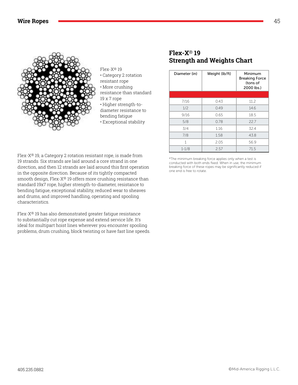

Flex-X® 19

- Category 2 rotation
- resistant rope
- More crushing
- resistance than standard
- 19 x 7 rope
	- Higher strength-todiameter resistance to
- bending fatigue
- 
- Exceptional stability

Flex-X® 19, a Category 2 rotation resistant rope, is made from 19 strands. Six strands are laid around a core strand in one direction, and then 12 strands are laid around this first operation in the opposite direction. Because of its tightly compacted smooth design, Flex-X® 19 offers more crushing resistance than standard 19x7 rope, higher strength-to-diameter, resistance to bending fatigue, exceptional stability, reduced wear to sheaves and drums, and improved handling, operating and spooling characteristics.

Flex-X® 19 has also demonstrated greater fatigue resistance to substantially cut rope expense and extend service life. It's ideal for multipart hoist lines wherever you encounter spooling problems, drum crushing, block twisting or have fast line speeds.

#### **Flex-X<sup>®</sup> 19 Strength and Weights Chart**

| Diameter (in) | Weight (lb/ft) | Minimum<br><b>Breaking Force</b><br>(tons of<br>2000 lbs.) |
|---------------|----------------|------------------------------------------------------------|
|               |                |                                                            |
| 7/16          | 0.43           | 11.2                                                       |
| 1/2           | 0.49           | 14.6                                                       |
| 9/16          | 0.65           | 18.5                                                       |
| 5/8           | 0.78           | 22.7                                                       |
| 3/4           | 1.16           | 32.4                                                       |
| 7/8           | 1.58           | 43.8                                                       |
| 1             | 2.05           | 56.9                                                       |
| $1 - 1/8$     | 2.57           | 71.5                                                       |

\*The minimum breaking force applies only when a test is conducted with both ends fixed. When in use, the minimum breaking force of these ropes may be significantly reduced if one end is free to rotate.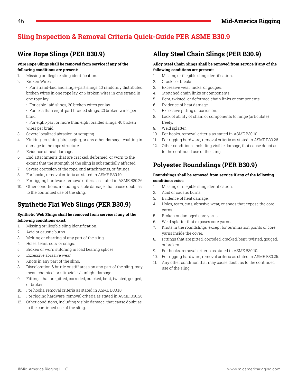# **Sling Inspection & Removal Criteria Quick-Guide PER ASME B30.9**

# **Wire Rope Slings (PER B30.9)**

#### **Wire Rope Slings shall be removed from service if any of the following conditions are present:**

- 1. Missing or illegible sling identification.
- 2. Broken Wires:

• For strand-laid and single-part slings, 10 randomly distributed broken wires in one rope lay, or 5 broken wires in one strand in one rope lay.

• For cable-laid slings, 20 broken wires per lay.

• For less than eight-part braided slings, 20 broken wires per braid.

- For eight-part or more than eight braided slings, 40 broken wires per braid.
- 3. Severe localized abrasion or scraping.
- 4. Kinking, crushing, bird caging, or any other damage resulting in damage to the rope structure.
- 5. Evidence of heat damage.
- 6. End attachments that are cracked, deformed, or worn to the extent that the strength of the sling is substantially affected.
- 7. Severe corrosion of the rope, end attachments, or fittings.
- 8. For hooks, removal criteria as stated in ASME B30.10.
- 9. For rigging hardware, removal criteria as stated in ASME B30.26
- 10. Other conditions, including visible damage, that cause doubt as to the continued use of the sling.

# **Synthetic Flat Web Slings (PER B30.9)**

#### **Synthetic Web Slings shall be removed from service if any of the**  following conditions exist:

- 1. Missing or illegible sling identification.
- 2. Acid or caustic burns.
- 3. Melting or charring of any part of the sling.
- 4. Holes, tears, cuts, or snags.
- 5. Broken or worn stitching in load bearing splices.
- 6. Excessive abrasive wear.
- 7. Knots in any part of the sling.
- 8. Discoloration & brittle or stiff areas on any part of the sling, may mean chemical or ultraviolet/sunlight damage.
- 9. Fittings that are pitted, corroded, cracked, bent, twisted, gouged, or broken.
- $10.$  For hooks, removal criteria as stated in ASME B30.10.
- 11. For rigging hardware, removal criteria as stated in ASME B30.26
- 12. Other conditions, including visible damage, that cause doubt as to the continued use of the sling.

# **Alloy Steel Chain Slings (PER B30.9)**

#### **Alloy Steel Chain Slings shall be removed from service if any of the following conditions are present:**

- 1. Missing or illegible sling identification.
- 2. Cracks or breaks
- 3. Excessive wear, nicks, or gouges.
- 4. Stretched chain links or components
- 5. Bent, twisted, or deformed chain links or components.
- 6. Evidence of heat damage.
- 7. Excessive pitting or corrosion.
- 8. Lack of ability of chain or components to hinge (articulate) freely.
- 9. Weld splatter.
- 10. For hooks, removal criteria as stated in ASME B30.10
- 11. For rigging hardware, removal criteria as stated in ASME B30.26
- 12. Other conditions, including visible damage, that cause doubt as to the continued use of the sling.

# **Polyester Roundslings (PER B30.9)**

#### **Roundslings shall be removed from service if any of the following**  conditions exist:

- 1. Missing or illegible sling identification.
- 2. Acid or caustic burns.
- 3. Evidence of heat damage.
- 4. Holes, tears, cuts, abrasive wear, or snags that expose the core yarns.
- 5. Broken or damaged core yarns.
- 6. Weld splatter that exposes core yarns.
- 7. Knots in the roundslings, except for termination points of core yarns inside the cover.
- 8. Fittings that are pitted, corroded, cracked, bent, twisted, gouged, or broken.
- 9. For hooks, removal criteria as stated in ASME B30.10.
- 10. For rigging hardware, removal criteria as stated in ASME B30.26.
- 11. Any other condition that may cause doubt as to the continued use of the sling.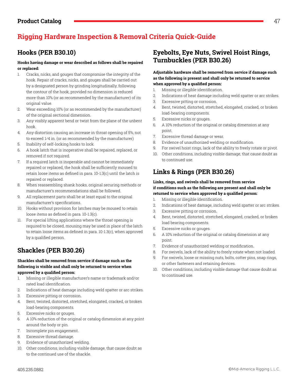# **Rigging Hardware Inspection & Removal Criteria Quick-Guide**

#### **Hooks having damage or wear described as follows shall be repaired or replaced:**

- 1. Cracks, nicks, and gouges that compromise the integrity of the hook. Repair of cracks, nicks, and gouges shall be carried out by a designated person by grinding longitudinally, following the contour of the hook, provided no dimension is reduced more than 10% (or as recommended by the manufacturer) of its original value.
- 2. Wear exceeding 10% (or as recommended by the manufacturer) of the original sectional dimension.
- 3. Any visibly apparent bend or twist from the plane of the unbent hook.
- 4. Any distortion causing an increase in throat opening of 5%, not to exceed 1/4 in. (or as recommended by the manufacturer)
- 5. Inability of self-locking hooks to lock.
- 6. A hook latch that is inoperative shall be repaired, replaced, or removed if not required.
- 7. If a required latch is inoperable and cannot be immediately repaired or replaced, the hook shall be sufficiently moused to retain loose items as defined in para. 10-1.3(c) until the latch is repaired or replaced.
- 8. When reassembling shank hooks, original securing methods or manufacturer's recommendations shall be followed.
- 9. All replacement parts shall be at least equal to the original manufacturer's specifications.
- 10. Hooks without provision for latches may be moused to retain loose items as defined in para. 10-1.3(c).
- 11. For special lifting applications where the throat opening is required to be closed, mousing may be used in place of the latch to retain loose items as defined in para. 10-1.3(c), when approved by a qualified person.

# **Shackles (PER B30.26)**

#### **Shackles shall be removed from service if damage such as the following is visible and shall only be returned to service when**  approved by a qualified person:

- 1. Missing or illegible manufacturer's name or trademark and/or rated load identification.
- 2. Indications of heat damage including weld spatter or arc strikes.
- 3. Excessive pitting or corrosion.
- 4. Bent, twisted, distorted, stretched, elongated, cracked, or broken load-bearing components.
- 5. Excessive nicks or gouges.
- 6. A 10% reduction of the original or catalog dimension at any point around the body or pin.
- 7. Incomplete pin engagement.
- 8. Excessive thread damage.
- 9. Evidence of unauthorized welding.
- 10. Other conditions, including visible damage, that cause doubt as to the continued use of the shackle.

# **Hooks (PER B30.10) Eyebolts, Eye Nuts, Swivel Hoist Rings, Turnbuckles (PER B30.26)**

#### **Adjustable hardware shall be removed from service if damage such as the following is present and shall only be returned to service**  when approved by a qualified person:

- 1. Missing or illegible identification.
- 2. Indications of heat damage including weld spatter or arc strikes.
- 3. Excessive pitting or corrosion.
- 4. Bent, twisted, distorted, stretched, elongated, cracked, or broken load-bearing components.
- 5. Excessive nicks or gouges.
- 6. A 10% reduction of the original or catalog dimension at any point.
- 7. Excessive thread damage or wear.
- 8. Evidence of unauthorized welding or modification.
- 9. For swivel hoist rings, lack of the ability to freely rotate or pivot.
- 10. Other conditions, including visible damage, that cause doubt as to continued use.

# **Links & Rings (PER B30.26)**

#### **Links, rings, and swivels shall be removed from service if conditions such as the following are present and shall only be**  returned to service when approved by a qualified person:

- 1. Missing or illegible identification.
- 2. Indications of heat damage, including weld spatter or arc strikes.
- 3. Excessive pitting or corrosion.
- 4. Bent, twisted, distorted, stretched, elongated, cracked, or broken load bearing components.
- 5. Excessive nicks or gouges.
- 6. A 10% reduction of the original or catalog dimension at any point.
- 7. Evidence of unauthorized welding or modification.
- 8. For swivels, lack of the ability to freely rotate when not loaded.
- 9. For swivels, loose or missing nuts, bolts, cotter pins, snap rings, or other fasteners and retaining devices.
- 10. Other conditions, including visible damage that cause doubt as to continued use.